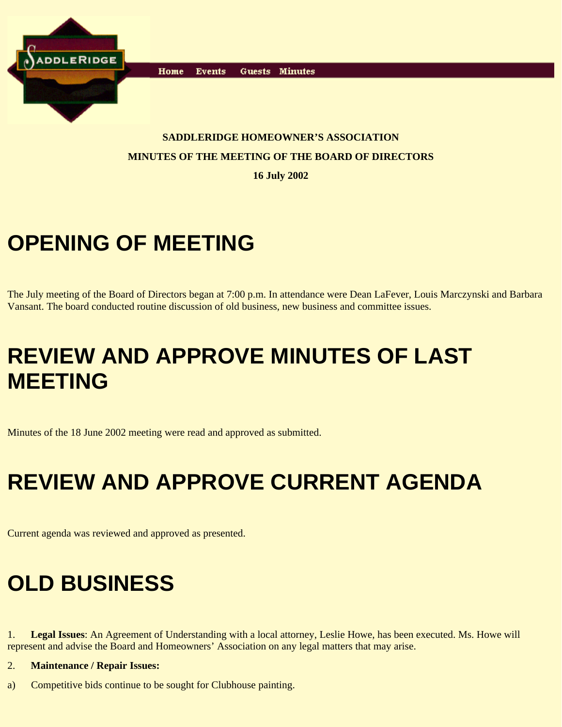

**Events** Home Guests Minutes

#### **SADDLERIDGE HOMEOWNER'S ASSOCIATION MINUTES OF THE MEETING OF THE BOARD OF DIRECTORS**

**16 July 2002**

# **OPENING OF MEETING**

The July meeting of the Board of Directors began at 7:00 p.m. In attendance were Dean LaFever, Louis Marczynski and Barbara Vansant. The board conducted routine discussion of old business, new business and committee issues.

## **REVIEW AND APPROVE MINUTES OF LAST MEETING**

Minutes of the 18 June 2002 meeting were read and approved as submitted.

# **REVIEW AND APPROVE CURRENT AGENDA**

Current agenda was reviewed and approved as presented.

## **OLD BUSINESS**

1. **Legal Issues**: An Agreement of Understanding with a local attorney, Leslie Howe, has been executed. Ms. Howe will represent and advise the Board and Homeowners' Association on any legal matters that may arise.

#### 2. **Maintenance / Repair Issues:**

a) Competitive bids continue to be sought for Clubhouse painting.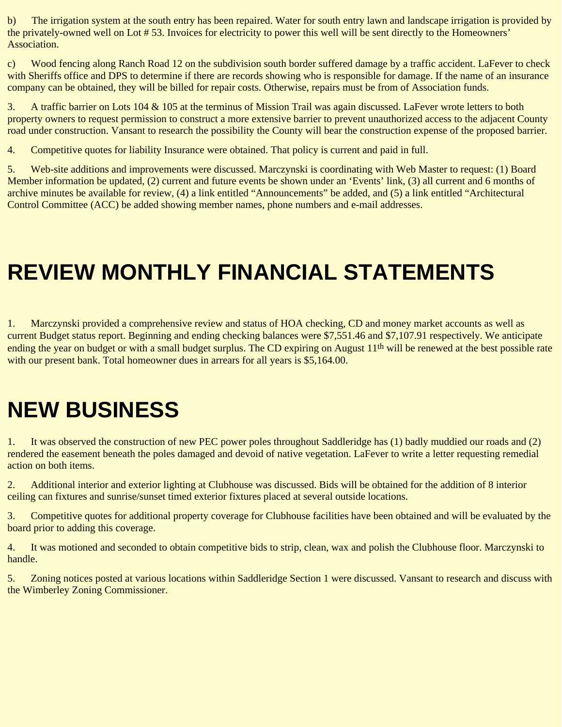b) The irrigation system at the south entry has been repaired. Water for south entry lawn and landscape irrigation is provided by the privately-owned well on Lot # 53. Invoices for electricity to power this well will be sent directly to the Homeowners' Association.

c) Wood fencing along Ranch Road 12 on the subdivision south border suffered damage by a traffic accident. LaFever to check with Sheriffs office and DPS to determine if there are records showing who is responsible for damage. If the name of an insurance company can be obtained, they will be billed for repair costs. Otherwise, repairs must be from of Association funds.

3. A traffic barrier on Lots 104 & 105 at the terminus of Mission Trail was again discussed. LaFever wrote letters to both property owners to request permission to construct a more extensive barrier to prevent unauthorized access to the adjacent County road under construction. Vansant to research the possibility the County will bear the construction expense of the proposed barrier.

4. Competitive quotes for liability Insurance were obtained. That policy is current and paid in full.

5. Web-site additions and improvements were discussed. Marczynski is coordinating with Web Master to request: (1) Board Member information be updated, (2) current and future events be shown under an 'Events' link, (3) all current and 6 months of archive minutes be available for review, (4) a link entitled "Announcements" be added, and (5) a link entitled "Architectural Control Committee (ACC) be added showing member names, phone numbers and e-mail addresses.

#### **REVIEW MONTHLY FINANCIAL STATEMENTS**

1. Marczynski provided a comprehensive review and status of HOA checking, CD and money market accounts as well as current Budget status report. Beginning and ending checking balances were \$7,551.46 and \$7,107.91 respectively. We anticipate ending the year on budget or with a small budget surplus. The CD expiring on August 11<sup>th</sup> will be renewed at the best possible rate with our present bank. Total homeowner dues in arrears for all years is \$5,164.00.

#### **NEW BUSINESS**

1. It was observed the construction of new PEC power poles throughout Saddleridge has (1) badly muddied our roads and (2) rendered the easement beneath the poles damaged and devoid of native vegetation. LaFever to write a letter requesting remedial action on both items.

2. Additional interior and exterior lighting at Clubhouse was discussed. Bids will be obtained for the addition of 8 interior ceiling can fixtures and sunrise/sunset timed exterior fixtures placed at several outside locations.

3. Competitive quotes for additional property coverage for Clubhouse facilities have been obtained and will be evaluated by the board prior to adding this coverage.

4. It was motioned and seconded to obtain competitive bids to strip, clean, wax and polish the Clubhouse floor. Marczynski to handle.

5. Zoning notices posted at various locations within Saddleridge Section 1 were discussed. Vansant to research and discuss with the Wimberley Zoning Commissioner.